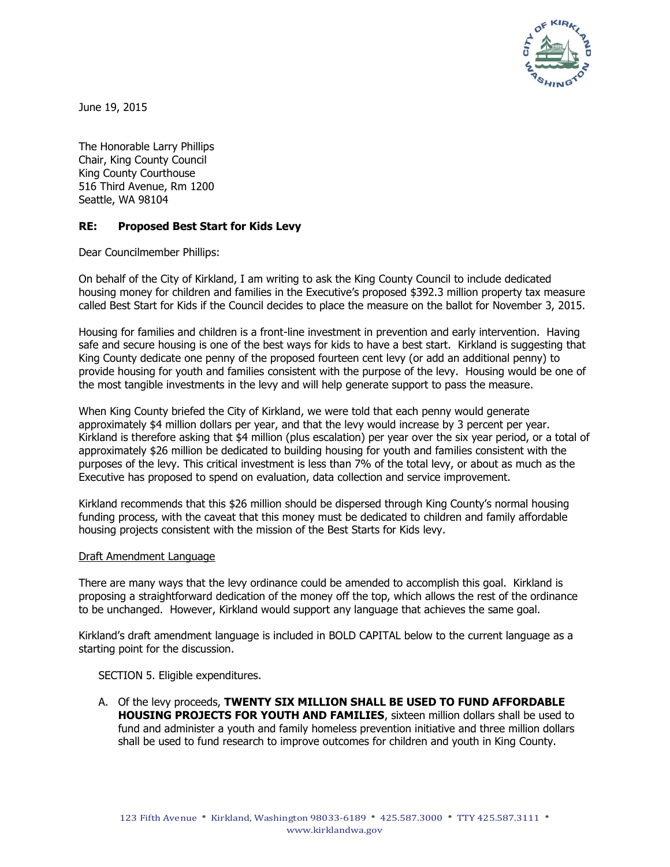

June 19, 2015

The Honorable Larry Phillips Chair, King County Council King County Courthouse 516 Third Avenue, Rm 1200 Seattle, WA 98104

## **RE: Proposed Best Start for Kids Levy**

Dear Councilmember Phillips:

On behalf of the City of Kirkland, I am writing to ask the King County Council to include dedicated housing money for children and families in the Executive's proposed \$392.3 million property tax measure called Best Start for Kids if the Council decides to place the measure on the ballot for November 3, 2015.

Housing for families and children is a front-line investment in prevention and early intervention. Having safe and secure housing is one of the best ways for kids to have a best start. Kirkland is suggesting that King County dedicate one penny of the proposed fourteen cent levy (or add an additional penny) to provide housing for youth and families consistent with the purpose of the levy. Housing would be one of the most tangible investments in the levy and will help generate support to pass the measure.

When King County briefed the City of Kirkland, we were told that each penny would generate approximately \$4 million dollars per year, and that the levy would increase by 3 percent per year. Kirkland is therefore asking that \$4 million (plus escalation) per year over the six year period, or a total of approximately \$26 million be dedicated to building housing for youth and families consistent with the purposes of the levy. This critical investment is less than 7% of the total levy, or about as much as the Executive has proposed to spend on evaluation, data collection and service improvement.

Kirkland recommends that this \$26 million should be dispersed through King County's normal housing funding process, with the caveat that this money must be dedicated to children and family affordable housing projects consistent with the mission of the Best Starts for Kids levy.

## Draft Amendment Language

There are many ways that the levy ordinance could be amended to accomplish this goal. Kirkland is proposing a straightforward dedication of the money off the top, which allows the rest of the ordinance to be unchanged. However, Kirkland would support any language that achieves the same goal.

Kirkland's draft amendment language is included in BOLD CAPITAL below to the current language as a starting point for the discussion.

SECTION 5. Eligible expenditures.

A. Of the levy proceeds, **TWENTY SIX MILLION SHALL BE USED TO FUND AFFORDABLE HOUSING PROJECTS FOR YOUTH AND FAMILIES**, sixteen million dollars shall be used to fund and administer a youth and family homeless prevention initiative and three million dollars shall be used to fund research to improve outcomes for children and youth in King County.